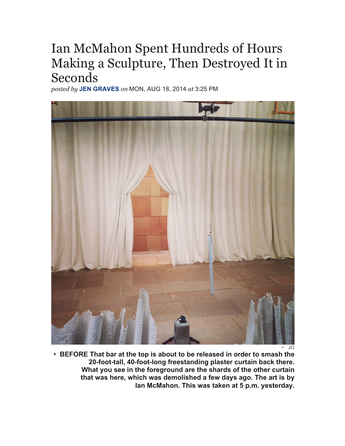## Ian McMahon Spent Hundreds of Hours Making a Sculpture, Then Destroyed It in Seconds

*posted by* **JEN GRAVES** *on* MON, AUG 18, 2014 *at* 3:25 PM



• JG

• **BEFORE That bar at the top is about to be released in order to smash the 20-foot-tall, 40-foot-long freestanding plaster curtain back there. What you see in the foreground are the shards of the other curtain that was here, which was demolished a few days ago. The art is by Ian McMahon. This was taken at 5 p.m. yesterday.**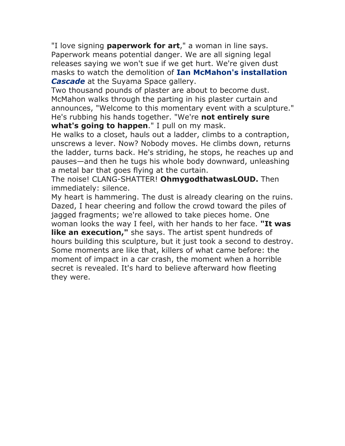"I love signing **paperwork for art**," a woman in line says. Paperwork means potential danger. We are all signing legal releases saying we won't sue if we get hurt. We're given dust masks to watch the demolition of **Ian McMahon's installation**  *Cascade* at the Suyama Space gallery.

Two thousand pounds of plaster are about to become dust. McMahon walks through the parting in his plaster curtain and announces, "Welcome to this momentary event with a sculpture." He's rubbing his hands together. "We're **not entirely sure what's going to happen**." I pull on my mask.

He walks to a closet, hauls out a ladder, climbs to a contraption, unscrews a lever. Now? Nobody moves. He climbs down, returns the ladder, turns back. He's striding, he stops, he reaches up and pauses—and then he tugs his whole body downward, unleashing a metal bar that goes flying at the curtain.

The noise! CLANG-SHATTER! **OhmygodthatwasLOUD.** Then immediately: silence.

My heart is hammering. The dust is already clearing on the ruins. Dazed, I hear cheering and follow the crowd toward the piles of jagged fragments; we're allowed to take pieces home. One woman looks the way I feel, with her hands to her face. **"It was like an execution,"** she says. The artist spent hundreds of hours building this sculpture, but it just took a second to destroy. Some moments are like that, killers of what came before: the moment of impact in a car crash, the moment when a horrible secret is revealed. It's hard to believe afterward how fleeting they were.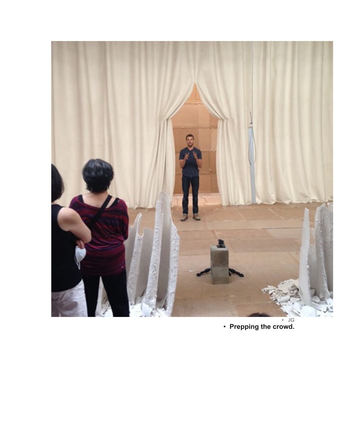

• JG • **Prepping the crowd.**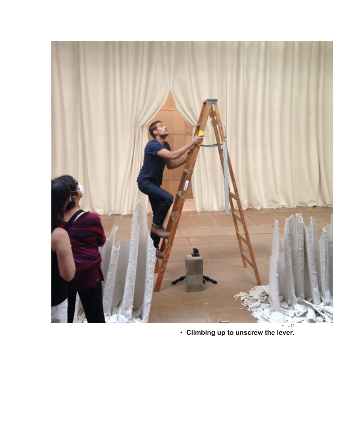

• **Climbing up to unscrew the lever.**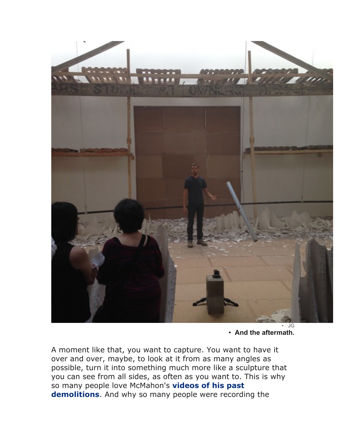

• **And the aftermath.**

A moment like that, you want to capture. You want to have it over and over, maybe, to look at it from as many angles as possible, turn it into something much more like a sculpture that you can see from all sides, as often as you want to. This is why so many people love McMahon's **videos of his past demolitions**. And why so many people were recording the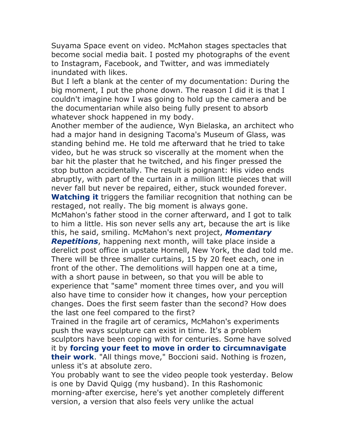Suyama Space event on video. McMahon stages spectacles that become social media bait. I posted my photographs of the event to Instagram, Facebook, and Twitter, and was immediately inundated with likes.

But I left a blank at the center of my documentation: During the big moment, I put the phone down. The reason I did it is that I couldn't imagine how I was going to hold up the camera and be the documentarian while also being fully present to absorb whatever shock happened in my body.

Another member of the audience, Wyn Bielaska, an architect who had a major hand in designing Tacoma's Museum of Glass, was standing behind me. He told me afterward that he tried to take video, but he was struck so viscerally at the moment when the bar hit the plaster that he twitched, and his finger pressed the stop button accidentally. The result is poignant: His video ends abruptly, with part of the curtain in a million little pieces that will never fall but never be repaired, either, stuck wounded forever. **Watching it** triggers the familiar recognition that nothing can be restaged, not really. The big moment is always gone.

McMahon's father stood in the corner afterward, and I got to talk to him a little. His son never sells any art, because the art is like this, he said, smiling. McMahon's next project, *Momentary* 

*Repetitions*, happening next month, will take place inside a derelict post office in upstate Hornell, New York, the dad told me. There will be three smaller curtains, 15 by 20 feet each, one in front of the other. The demolitions will happen one at a time, with a short pause in between, so that you will be able to experience that "same" moment three times over, and you will also have time to consider how it changes, how your perception changes. Does the first seem faster than the second? How does the last one feel compared to the first?

Trained in the fragile art of ceramics, McMahon's experiments push the ways sculpture can exist in time. It's a problem sculptors have been coping with for centuries. Some have solved it by **forcing your feet to move in order to circumnavigate their work**. "All things move," Boccioni said. Nothing is frozen, unless it's at absolute zero.

You probably want to see the video people took yesterday. Below is one by David Quigg (my husband). In this Rashomonic morning-after exercise, here's yet another completely different version, a version that also feels very unlike the actual